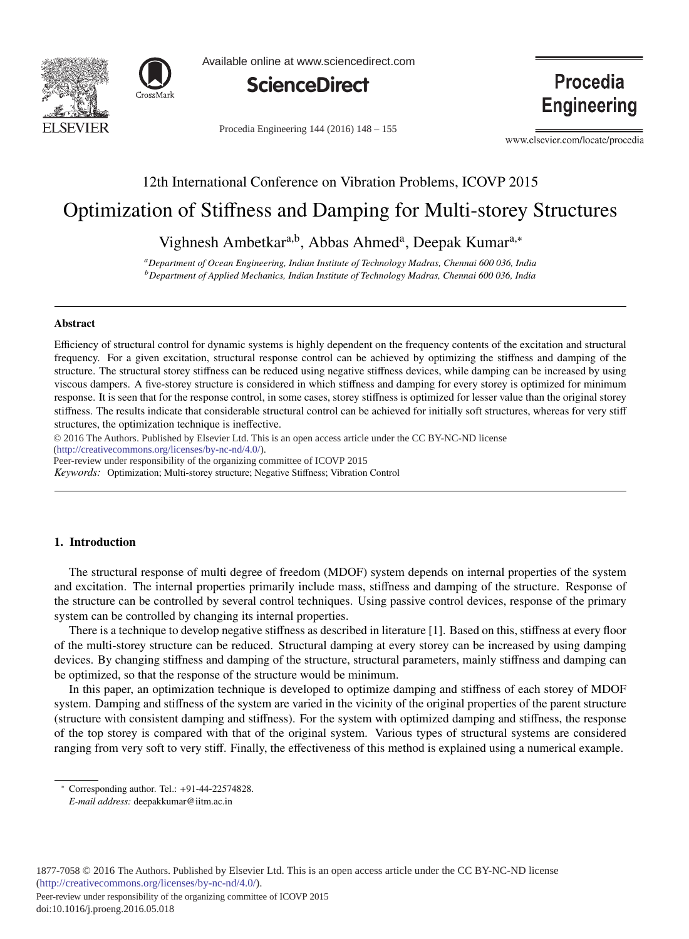



Available online at www.sciencedirect.com



Procedia Engineering 144 (2016) 148 - 155

Procedia **Engineering** 

www.elsevier.com/locate/procedia

# 12th International Conference on Vibration Problems, ICOVP 2015

# Optimization of Stiffness and Damping for Multi-storey Structures

Vighnesh Ambetkar<sup>a,b</sup>, Abbas Ahmed<sup>a</sup>, Deepak Kumar<sup>a,∗</sup>

*aDepartment of Ocean Engineering, Indian Institute of Technology Madras, Chennai 600 036, India bDepartment of Applied Mechanics, Indian Institute of Technology Madras, Chennai 600 036, India*

## Abstract

Efficiency of structural control for dynamic systems is highly dependent on the frequency contents of the excitation and structural frequency. For a given excitation, structural response control can be achieved by optimizing the stiffness and damping of the structure. The structural storey stiffness can be reduced using negative stiffness devices, while damping can be increased by using viscous dampers. A five-storey structure is considered in which stiffness and damping for every storey is optimized for minimum response. It is seen that for the response control, in some cases, storey stiffness is optimized for lesser value than the original storey stiffness. The results indicate that considerable structural control can be achieved for initially soft structures, whereas for very stiff structures, the optimization technique is ineffective.

c 2016 The Authors. Published by Elsevier Ltd. © 2016 The Authors. Published by Elsevier Ltd. This is an open access article under the CC BY-NC-ND license (http://creativecommons.org/licenses/by-nc-nd/4.0/).

Peer-review under responsibility of the organizing committee of ICOVP 2015

*Keywords:* Optimization; Multi-storey structure; Negative Stiffness; Vibration Control

# 1. Introduction

The structural response of multi degree of freedom (MDOF) system depends on internal properties of the system and excitation. The internal properties primarily include mass, stiffness and damping of the structure. Response of the structure can be controlled by several control techniques. Using passive control devices, response of the primary system can be controlled by changing its internal properties.

There is a technique to develop negative stiffness as described in literature [1]. Based on this, stiffness at every floor of the multi-storey structure can be reduced. Structural damping at every storey can be increased by using damping devices. By changing stiffness and damping of the structure, structural parameters, mainly stiffness and damping can be optimized, so that the response of the structure would be minimum.

In this paper, an optimization technique is developed to optimize damping and stiffness of each storey of MDOF system. Damping and stiffness of the system are varied in the vicinity of the original properties of the parent structure (structure with consistent damping and stiffness). For the system with optimized damping and stiffness, the response of the top storey is compared with that of the original system. Various types of structural systems are considered ranging from very soft to very stiff. Finally, the effectiveness of this method is explained using a numerical example.

<sup>∗</sup> Corresponding author. Tel.: +91-44-22574828.

*E-mail address:* deepakkumar@iitm.ac.in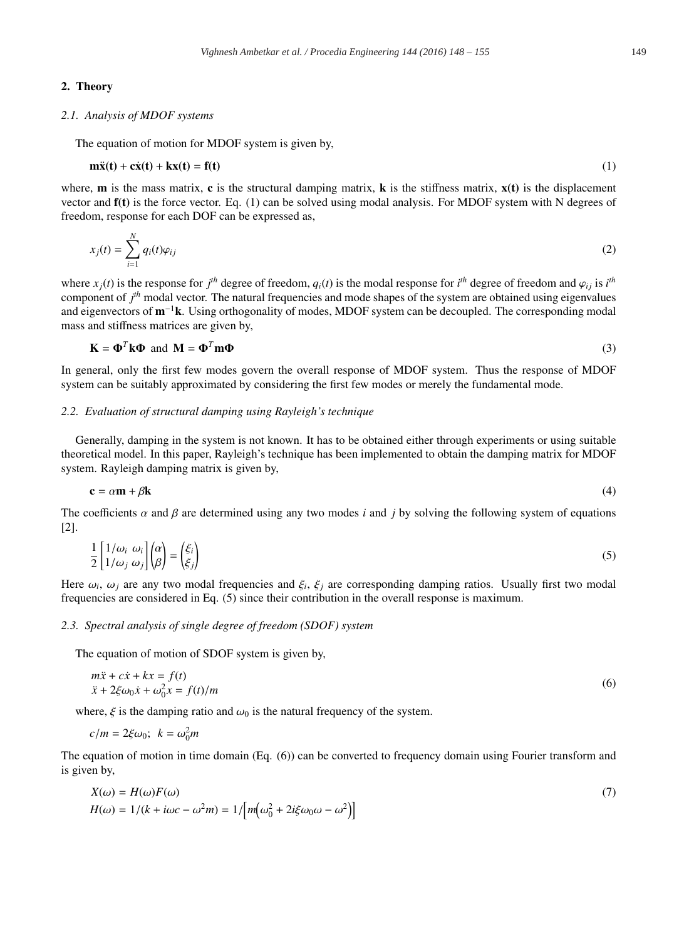# 2. Theory

#### *2.1. Analysis of MDOF systems*

The equation of motion for MDOF system is given by,

$$
\mathbf{m}\ddot{\mathbf{x}}(\mathbf{t}) + \mathbf{c}\dot{\mathbf{x}}(\mathbf{t}) + \mathbf{k}\mathbf{x}(\mathbf{t}) = \mathbf{f}(\mathbf{t})
$$
 (1)

where, **m** is the mass matrix, **c** is the structural damping matrix, **k** is the stiffness matrix,  $\mathbf{x}(t)$  is the displacement vector and f(t) is the force vector. Eq. (1) can be solved using modal analysis. For MDOF system with N degrees of freedom, response for each DOF can be expressed as,

$$
x_j(t) = \sum_{i=1}^N q_i(t)\varphi_{ij}
$$
 (2)

where  $x_j(t)$  is the response for  $j^{th}$  degree of freedom,  $q_i(t)$  is the modal response for  $i^{th}$  degree of freedom and  $\varphi_{ij}$  is  $i^{th}$ component of *j th* modal vector. The natural frequencies and mode shapes of the system are obtained using eigenvalues and eigenvectors of m−<sup>1</sup>k. Using orthogonality of modes, MDOF system can be decoupled. The corresponding modal mass and stiffness matrices are given by,

$$
\mathbf{K} = \mathbf{\Phi}^T \mathbf{k} \mathbf{\Phi} \text{ and } \mathbf{M} = \mathbf{\Phi}^T \mathbf{m} \mathbf{\Phi}
$$
 (3)

In general, only the first few modes govern the overall response of MDOF system. Thus the response of MDOF system can be suitably approximated by considering the first few modes or merely the fundamental mode.

#### *2.2. Evaluation of structural damping using Rayleigh's technique*

Generally, damping in the system is not known. It has to be obtained either through experiments or using suitable theoretical model. In this paper, Rayleigh's technique has been implemented to obtain the damping matrix for MDOF system. Rayleigh damping matrix is given by,

$$
\mathbf{c} = \alpha \mathbf{m} + \beta \mathbf{k} \tag{4}
$$

The coefficients  $\alpha$  and  $\beta$  are determined using any two modes *i* and *j* by solving the following system of equations [2].

$$
\frac{1}{2} \begin{bmatrix} 1/\omega_i & \omega_i \\ 1/\omega_j & \omega_j \end{bmatrix} \begin{pmatrix} \alpha \\ \beta \end{pmatrix} = \begin{pmatrix} \xi_i \\ \xi_j \end{pmatrix}
$$
\n(5)

Here  $\omega_i$ ,  $\omega_j$  are any two modal frequencies and  $\xi_i$ ,  $\xi_j$  are corresponding damping ratios. Usually first two modal frequencies are considered in Eq. (5) since their contribution in the overall response is maximum.

#### *2.3. Spectral analysis of single degree of freedom (SDOF) system*

The equation of motion of SDOF system is given by,

$$
m\ddot{x} + c\dot{x} + kx = f(t)
$$
  
\n
$$
\ddot{x} + 2\xi\omega_0 \dot{x} + \omega_0^2 x = f(t)/m
$$
\n(6)

where,  $\xi$  is the damping ratio and  $\omega_0$  is the natural frequency of the system.

$$
c/m = 2\xi\omega_0; \ k = \omega_0^2 m
$$

The equation of motion in time domain (Eq. (6)) can be converted to frequency domain using Fourier transform and is given by,

$$
X(\omega) = H(\omega)F(\omega)
$$
  
\n
$$
H(\omega) = 1/(k + i\omega c - \omega^2 m) = 1/[m(\omega_0^2 + 2i\xi\omega_0\omega - \omega^2)]
$$
\n(7)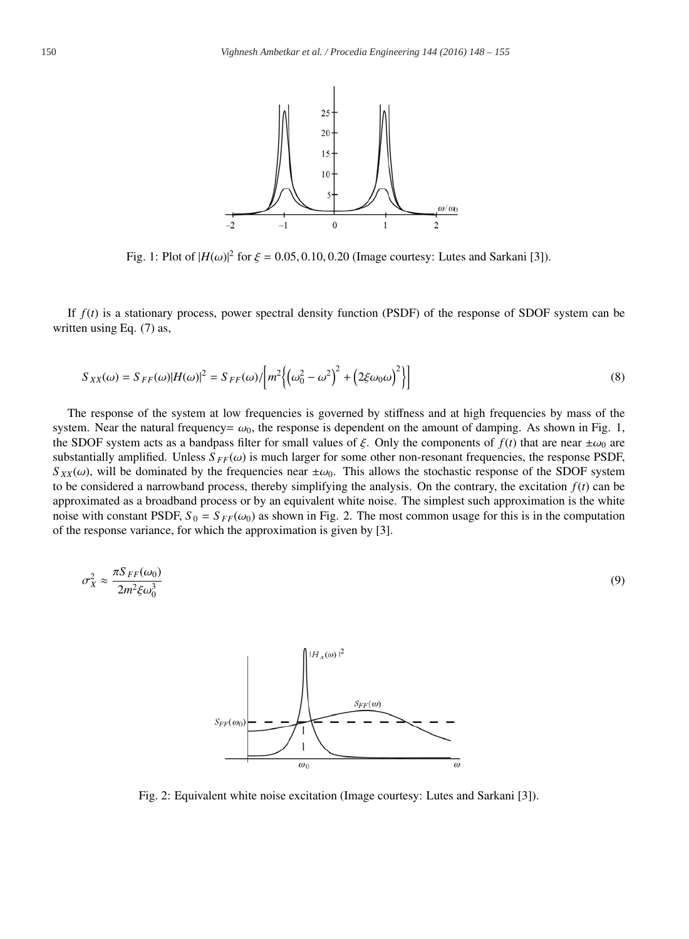

Fig. 1: Plot of  $|H(\omega)|^2$  for  $\xi = 0.05, 0.10, 0.20$  (Image courtesy: Lutes and Sarkani [3]).

If *f*(*t*) is a stationary process, power spectral density function (PSDF) of the response of SDOF system can be written using Eq. (7) as,

$$
S_{XX}(\omega) = S_{FF}(\omega)|H(\omega)|^2 = S_{FF}(\omega)/\left[m^2\left\{(\omega_0^2 - \omega^2)^2 + \left(2\xi\omega_0\omega\right)^2\right\}\right]
$$
(8)

The response of the system at low frequencies is governed by stiffness and at high frequencies by mass of the system. Near the natural frequency=  $\omega_0$ , the response is dependent on the amount of damping. As shown in Fig. 1, the SDOF system acts as a bandpass filter for small values of  $\xi$ . Only the components of  $f(t)$  that are near  $\pm \omega_0$  are substantially amplified. Unless  $S_{FF}(\omega)$  is much larger for some other non-resonant frequencies, the response PSDF,  $S_{XX}(\omega)$ , will be dominated by the frequencies near  $\pm \omega_0$ . This allows the stochastic response of the SDOF system to be considered a narrowband process, thereby simplifying the analysis. On the contrary, the excitation  $f(t)$  can be approximated as a broadband process or by an equivalent white noise. The simplest such approximation is the white noise with constant PSDF,  $S_0 = S_{FF}(\omega_0)$  as shown in Fig. 2. The most common usage for this is in the computation of the response variance, for which the approximation is given by [3].

$$
\sigma_X^2 \approx \frac{\pi S_{FF}(\omega_0)}{2m^2 \xi \omega_0^3} \tag{9}
$$



Fig. 2: Equivalent white noise excitation (Image courtesy: Lutes and Sarkani [3]).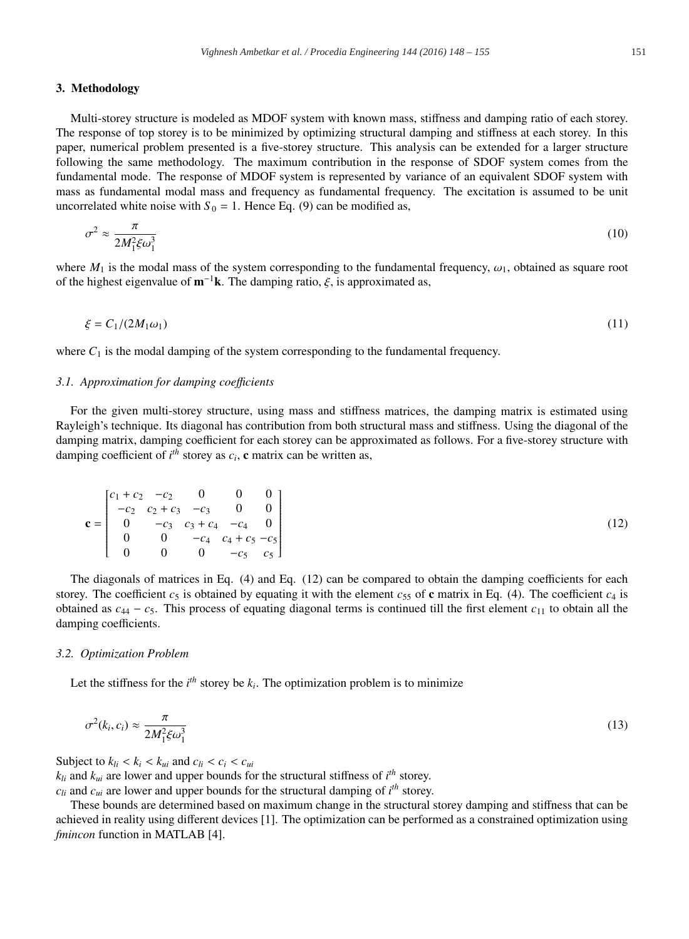#### 3. Methodology

Multi-storey structure is modeled as MDOF system with known mass, stiffness and damping ratio of each storey. The response of top storey is to be minimized by optimizing structural damping and stiffness at each storey. In this paper, numerical problem presented is a five-storey structure. This analysis can be extended for a larger structure following the same methodology. The maximum contribution in the response of SDOF system comes from the fundamental mode. The response of MDOF system is represented by variance of an equivalent SDOF system with mass as fundamental modal mass and frequency as fundamental frequency. The excitation is assumed to be unit uncorrelated white noise with  $S_0 = 1$ . Hence Eq. (9) can be modified as,

$$
\sigma^2 \approx \frac{\pi}{2M_1^2 \xi \omega_1^3} \tag{10}
$$

where  $M_1$  is the modal mass of the system corresponding to the fundamental frequency,  $\omega_1$ , obtained as square root of the highest eigenvalue of  $m^{-1}k$ . The damping ratio,  $\xi$ , is approximated as,

$$
\xi = C_1/(2M_1\omega_1) \tag{11}
$$

where  $C_1$  is the modal damping of the system corresponding to the fundamental frequency.

#### *3.1. Approximation for damping coe*ffi*cients*

For the given multi-storey structure, using mass and stiffness matrices, the damping matrix is estimated using Rayleigh's technique. Its diagonal has contribution from both structural mass and stiffness. Using the diagonal of the damping matrix, damping coefficient for each storey can be approximated as follows. For a five-storey structure with damping coefficient of  $i<sup>th</sup>$  storey as  $c<sub>i</sub>$ , c matrix can be written as,

$$
\mathbf{c} = \begin{bmatrix} c_1 + c_2 & -c_2 & 0 & 0 & 0 \\ -c_2 & c_2 + c_3 & -c_3 & 0 & 0 \\ 0 & -c_3 & c_3 + c_4 & -c_4 & 0 \\ 0 & 0 & -c_4 & c_4 + c_5 & -c_5 \\ 0 & 0 & 0 & -c_5 & c_5 \end{bmatrix}
$$
(12)

The diagonals of matrices in Eq. (4) and Eq. (12) can be compared to obtain the damping coefficients for each storey. The coefficient  $c_5$  is obtained by equating it with the element  $c_{55}$  of c matrix in Eq. (4). The coefficient  $c_4$  is obtained as  $c_{44} - c_5$ . This process of equating diagonal terms is continued till the first element  $c_{11}$  to obtain all the damping coefficients.

#### *3.2. Optimization Problem*

Let the stiffness for the  $i<sup>th</sup>$  storey be  $k<sub>i</sub>$ . The optimization problem is to minimize

$$
\sigma^2(k_i, c_i) \approx \frac{\pi}{2M_1^2 \xi \omega_1^3}
$$
\n(13)

Subject to  $k_{li} < k_i < k_{ui}$  and  $c_{li} < c_i < c_{ui}$ 

 $k_{li}$  and  $k_{ui}$  are lower and upper bounds for the structural stiffness of  $i^{th}$  storey.

 $c_{li}$  and  $c_{ui}$  are lower and upper bounds for the structural damping of  $i^{th}$  storey.

These bounds are determined based on maximum change in the structural storey damping and stiffness that can be achieved in reality using different devices [1]. The optimization can be performed as a constrained optimization using *fmincon* function in MATLAB [4].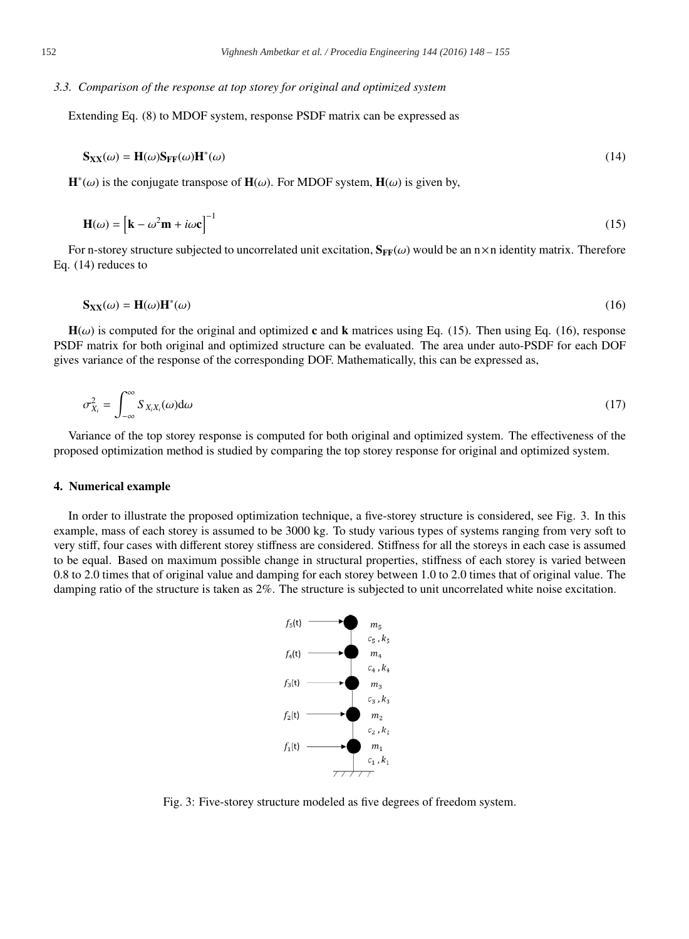# *3.3. Comparison of the response at top storey for original and optimized system*

Extending Eq. (8) to MDOF system, response PSDF matrix can be expressed as

$$
\mathbf{S}_{\mathbf{XX}}(\omega) = \mathbf{H}(\omega) \mathbf{S}_{\mathbf{FF}}(\omega) \mathbf{H}^*(\omega) \tag{14}
$$

 $\mathbf{H}^*(\omega)$  is the conjugate transpose of  $\mathbf{H}(\omega)$ . For MDOF system,  $\mathbf{H}(\omega)$  is given by,

$$
\mathbf{H}(\omega) = \left[\mathbf{k} - \omega^2 \mathbf{m} + i\omega \mathbf{c}\right]^{-1} \tag{15}
$$

For n-storey structure subjected to uncorrelated unit excitation,  $S_{FF}(\omega)$  would be an  $n \times n$  identity matrix. Therefore Eq. (14) reduces to

$$
\mathbf{S}_{\mathbf{XX}}(\omega) = \mathbf{H}(\omega)\mathbf{H}^*(\omega) \tag{16}
$$

 $H(\omega)$  is computed for the original and optimized c and k matrices using Eq. (15). Then using Eq. (16), response PSDF matrix for both original and optimized structure can be evaluated. The area under auto-PSDF for each DOF gives variance of the response of the corresponding DOF. Mathematically, this can be expressed as,

$$
\sigma_{X_i}^2 = \int_{-\infty}^{\infty} S_{X_i X_i}(\omega) d\omega \tag{17}
$$

Variance of the top storey response is computed for both original and optimized system. The effectiveness of the proposed optimization method is studied by comparing the top storey response for original and optimized system.

### 4. Numerical example

In order to illustrate the proposed optimization technique, a five-storey structure is considered, see Fig. 3. In this example, mass of each storey is assumed to be 3000 kg. To study various types of systems ranging from very soft to very stiff, four cases with different storey stiffness are considered. Stiffness for all the storeys in each case is assumed to be equal. Based on maximum possible change in structural properties, stiffness of each storey is varied between 0.8 to 2.0 times that of original value and damping for each storey between 1.0 to 2.0 times that of original value. The damping ratio of the structure is taken as 2%. The structure is subjected to unit uncorrelated white noise excitation.



Fig. 3: Five-storey structure modeled as five degrees of freedom system.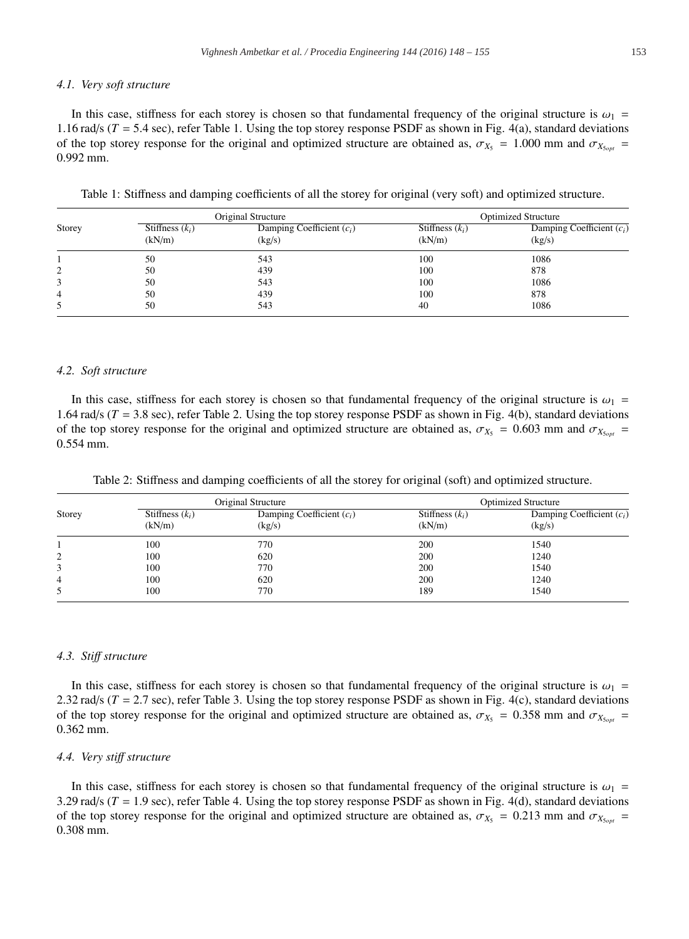#### *4.1. Very soft structure*

In this case, stiffness for each storey is chosen so that fundamental frequency of the original structure is  $\omega_1$  = 1.16 rad/s  $(T = 5.4 \text{ sec})$ , refer Table 1. Using the top storey response PSDF as shown in Fig. 4(a), standard deviations of the top storey response for the original and optimized structure are obtained as,  $\sigma_{X_5} = 1.000$  mm and  $\sigma_{X_{500\text{r}}}$ 0.992 mm.

| Table 1: Stiffness and damping coefficients of all the storey for original (very soft) and optimized structure. |  |
|-----------------------------------------------------------------------------------------------------------------|--|
|-----------------------------------------------------------------------------------------------------------------|--|

|        | Original Structure          |                                       | <b>Optimized Structure</b>  |                                       |
|--------|-----------------------------|---------------------------------------|-----------------------------|---------------------------------------|
| Storey | Stiffness $(k_i)$<br>(kN/m) | Damping Coefficient $(c_i)$<br>(kg/s) | Stiffness $(k_i)$<br>(kN/m) | Damping Coefficient $(c_i)$<br>(kg/s) |
|        | 50                          | 543                                   | 100                         | 1086                                  |
| 2      | 50                          | 439                                   | 100                         | 878                                   |
|        | 50                          | 543                                   | 100                         | 1086                                  |
| 4      | 50                          | 439                                   | 100                         | 878                                   |
|        | 50                          | 543                                   | 40                          | 1086                                  |

## *4.2. Soft structure*

In this case, stiffness for each storey is chosen so that fundamental frequency of the original structure is  $\omega_1$  = 1.64 rad/s  $(T = 3.8 \text{ sec})$ , refer Table 2. Using the top storey response PSDF as shown in Fig. 4(b), standard deviations of the top storey response for the original and optimized structure are obtained as,  $\sigma_{X_5} = 0.603$  mm and  $\sigma_{X_{500\text{II}}}$ 0.554 mm.

Table 2: Stiffness and damping coefficients of all the storey for original (soft) and optimized structure.

|        | Original Structure          |                                       | <b>Optimized Structure</b>  |                                       |
|--------|-----------------------------|---------------------------------------|-----------------------------|---------------------------------------|
| Storey | Stiffness $(k_i)$<br>(kN/m) | Damping Coefficient $(c_i)$<br>(kg/s) | Stiffness $(k_i)$<br>(kN/m) | Damping Coefficient $(c_i)$<br>(kg/s) |
|        | 100                         | 770                                   | 200                         | 1540                                  |
| 2      | 100                         | 620                                   | 200                         | 1240                                  |
|        | 100                         | 770                                   | 200                         | 1540                                  |
| 4      | 100                         | 620                                   | 200                         | 1240                                  |
| 5      | 100                         | 770                                   | 189                         | 1540                                  |

#### *4.3. Sti*ff *structure*

In this case, stiffness for each storey is chosen so that fundamental frequency of the original structure is  $\omega_1$  = 2.32 rad/s (*T* = 2.7 sec), refer Table 3. Using the top storey response PSDF as shown in Fig. 4(c), standard deviations of the top storey response for the original and optimized structure are obtained as,  $\sigma_{X_5} = 0.358$  mm and  $\sigma_{X_{5\text{opt}}} =$ 0.362 mm.

#### *4.4. Very sti*ff *structure*

In this case, stiffness for each storey is chosen so that fundamental frequency of the original structure is  $\omega_1$ 3.29 rad/s  $(T = 1.9 \text{ sec})$ , refer Table 4. Using the top storey response PSDF as shown in Fig. 4(d), standard deviations of the top storey response for the original and optimized structure are obtained as,  $\sigma_{X_5} = 0.213$  mm and  $\sigma_{X_{50pt}} =$ 0.308 mm.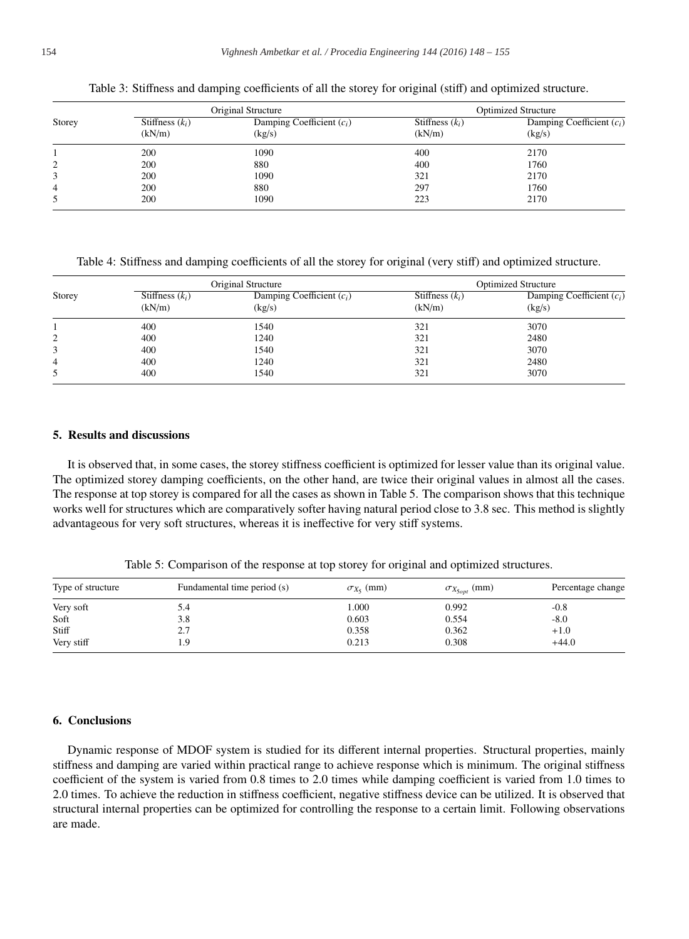|        | Original Structure          |                                       | <b>Optimized Structure</b>  |                                       |
|--------|-----------------------------|---------------------------------------|-----------------------------|---------------------------------------|
| Storey | Stiffness $(k_i)$<br>(kN/m) | Damping Coefficient $(c_i)$<br>(kg/s) | Stiffness $(k_i)$<br>(kN/m) | Damping Coefficient $(c_i)$<br>(kg/s) |
|        | 200                         | 1090                                  | 400                         | 2170                                  |
| 2      | 200                         | 880                                   | 400                         | 1760                                  |
| 3      | 200                         | 1090                                  | 321                         | 2170                                  |
| 4      | 200                         | 880                                   | 297                         | 1760                                  |
| 5      | 200                         | 1090                                  | 223                         | 2170                                  |

Table 3: Stiffness and damping coefficients of all the storey for original (stiff) and optimized structure.

Table 4: Stiffness and damping coefficients of all the storey for original (very stiff) and optimized structure.

|        | Original Structure          |                                       | <b>Optimized Structure</b>  |                                       |
|--------|-----------------------------|---------------------------------------|-----------------------------|---------------------------------------|
| Storey | Stiffness $(k_i)$<br>(kN/m) | Damping Coefficient $(c_i)$<br>(kg/s) | Stiffness $(k_i)$<br>(kN/m) | Damping Coefficient $(c_i)$<br>(kg/s) |
|        | 400                         | 1540                                  | 321                         | 3070                                  |
| 2      | 400                         | 1240                                  | 321                         | 2480                                  |
| 3      | 400                         | 1540                                  | 321                         | 3070                                  |
| 4      | 400                         | 1240                                  | 321                         | 2480                                  |
| 5      | 400                         | 1540                                  | 321                         | 3070                                  |

# 5. Results and discussions

It is observed that, in some cases, the storey stiffness coefficient is optimized for lesser value than its original value. The optimized storey damping coefficients, on the other hand, are twice their original values in almost all the cases. The response at top storey is compared for all the cases as shown in Table 5. The comparison shows that this technique works well for structures which are comparatively softer having natural period close to 3.8 sec. This method is slightly advantageous for very soft structures, whereas it is ineffective for very stiff systems.

Table 5: Comparison of the response at top storey for original and optimized structures.

| Type of structure | Fundamental time period (s) | $\sigma_{X_5}$ (mm) | $\sigma_{X_{5opt}}$ (mm) | Percentage change |
|-------------------|-----------------------------|---------------------|--------------------------|-------------------|
| Very soft         | 5.4                         | 1.000               | 0.992                    | $-0.8$            |
| Soft              | 3.8                         | 0.603               | 0.554                    | $-8.0$            |
| Stiff             | 2.7                         | 0.358               | 0.362                    | $+1.0$            |
| Very stiff        |                             | 0.213               | 0.308                    | $+44.0$           |

# 6. Conclusions

Dynamic response of MDOF system is studied for its different internal properties. Structural properties, mainly stiffness and damping are varied within practical range to achieve response which is minimum. The original stiffness coefficient of the system is varied from 0.8 times to 2.0 times while damping coefficient is varied from 1.0 times to 2.0 times. To achieve the reduction in stiffness coefficient, negative stiffness device can be utilized. It is observed that structural internal properties can be optimized for controlling the response to a certain limit. Following observations are made.